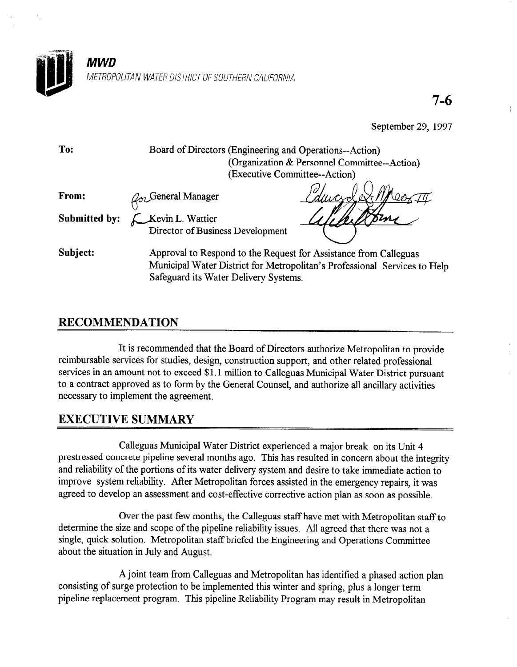

7-6

September 29, 1997

| To:                  | Board of Directors (Engineering and Operations--Action)<br>(Organization & Personnel Committee--Action)                                                                                |
|----------------------|----------------------------------------------------------------------------------------------------------------------------------------------------------------------------------------|
|                      | (Executive Committee--Action)                                                                                                                                                          |
| From:                | $\mathcal{Q}_{\sigma}$ General Manager                                                                                                                                                 |
| <b>Submitted by:</b> | Kevin L. Wattier                                                                                                                                                                       |
|                      | Director of Business Development                                                                                                                                                       |
| Subject:             | Approval to Respond to the Request for Assistance from Calleguas<br>Municipal Water District for Metropolitan's Professional Services to Help<br>Safeguard its Water Delivery Systems. |

## RECOMMENDATION

It is recommended that the Board of Directors authorize Metropolitan to provide reimbursable services for studies, design, construction support, and other related professional services in an amount not to exceed \$1.1 million to Calleguas Municipal Water District pursuant to a contract approved as to form by the General Counsel, and authorize all ancillary activities necessary to implement the agreement.

## EXECUTIVE SUMMARY

Calleguas Municipal Water District experienced a major break on its Unit 4 prestressed concrete pipeline several months ago. This has resulted in concern about the integrity and reliability of the portions of its water delivery system and desire to take immediate action to improve system reliability. After Metropolitan forces assisted in the emergency repairs, it was agreed to develop an assessment and cost-effective corrective action plan as soon as possible.

Over the past few months, the Calleguas staff have met with Metropolitan staff to determine the size and scope of the pipeline reliability issues. All agreed that there was not a single, quick solution. Metropolitan staff briefed the Engineering and Operations Committee about the situation in July and August.

A joint team from Calleguas and Metropolitan has identified a phased action plan consisting of surge protection to be implemented this winter and spring, plus a longer term pipeline replacement program. This pipeline Reliability Program may result in Metropolitan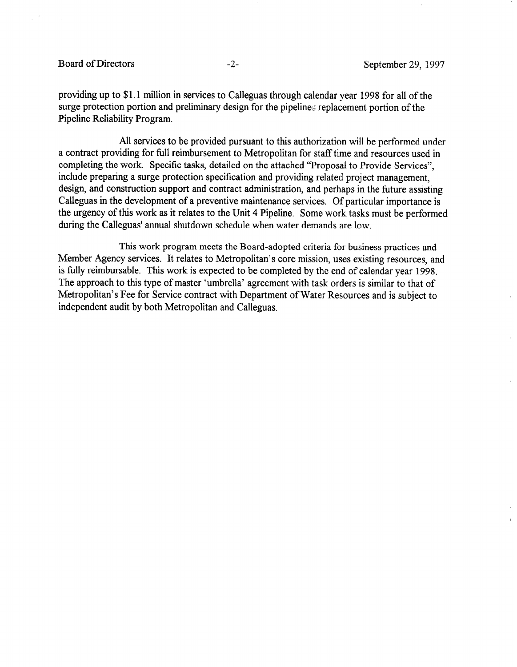## Board of Directors -2- September 29, 1997

providing up to \$1.1 million in services to Calleguas through calendar year 1998 for all of the surge protection portion and preliminary design for the pipeline:; replacement portion of the Pipeline Reliability Program.

All services to be provided pursuant to this authorization will be performed under a contract providing for full reimbursement to Metropolitan for staff time and resources used in completing the work. Specific tasks, detailed on the attached "Proposal to Provide Services", include preparing a surge protection specification and providing related project management, design, and construction support and contract administration, and perhaps in the future assisting Calleguas in the development of a preventive maintenance services. Of particular importance is the urgency of this work as it relates to the Unit 4 Pipeline. Some work tasks must be performed during the Calleguas' annual shutdown schedule when water demands are low.

This work program meets the Board-adopted criteria for business practices and Member Agency services. It relates to Metropolitan's core mission, uses existing resources, and is fully reimbursable. This work is expected to be completed by the end of calendar year 1998. The approach to this type of master 'umbrella' agreement with task orders is similar to that of Metropolitan's Fee for Service contract with Department of Water Resources and is subject to independent audit by both Metropolitan and Calleguas.